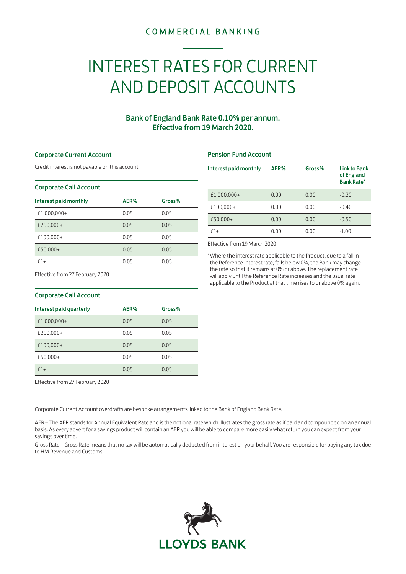## **COMMERCIAL BANKING**

# INTEREST RATES FOR CURRENT AND DEPOSIT ACCOUNTS

### Bank of England Bank Rate 0.10% per annum. Effective from 19 March 2020.

#### Corporate Current Account

Credit interest is not payable on this account.

#### Corporate Call Account

| Interest paid monthly | AER% | Gross% |
|-----------------------|------|--------|
| £1,000,000+           | 0.05 | 0.05   |
| £250,000+             | 0.05 | 0.05   |
| £100,000+             | 0.05 | 0.05   |
| £50,000+              | 0.05 | 0.05   |
| $f1+$                 | 0.05 | 0.05   |

#### Pension Fund Account

| Interest paid monthly | AER% | Gross% | <b>Link to Bank</b><br>of England<br><b>Bank Rate*</b> |
|-----------------------|------|--------|--------------------------------------------------------|
| £1,000,000+           | 0.00 | 0.00   | $-0.20$                                                |
| £100,000+             | 0.00 | 0.00   | $-0.40$                                                |
| £50,000+              | 0.00 | 0.00   | $-0.50$                                                |
| $f1+$                 | 0.00 | 0.00   | $-1.00$                                                |

Effective from 19 March 2020

\*Where the interest rate applicable to the Product, due to a fall in the Reference Interest rate, falls below 0%, the Bank may change the rate so that it remains at 0% or above. The replacement rate will apply until the Reference Rate increases and the usual rate applicable to the Product at that time rises to or above 0% again.

Effective from 27 February 2020

| Corporate Call Account  |      |        |  |
|-------------------------|------|--------|--|
| Interest paid quarterly | AER% | Gross% |  |
| £1,000,000+             | 0.05 | 0.05   |  |
| £250,000+               | 0.05 | 0.05   |  |
| £100,000+               | 0.05 | 0.05   |  |
| £50,000+                | 0.05 | 0.05   |  |
| $f1+$                   | 0.05 | 0.05   |  |

Effective from 27 February 2020

Corporate Current Account overdrafts are bespoke arrangements linked to the Bank of England Bank Rate.

AER – The AER stands for Annual Equivalent Rate and is the notional rate which illustrates the gross rate as if paid and compounded on an annual basis. As every advert for a savings product will contain an AER you will be able to compare more easily what return you can expect from your savings over time.

Gross Rate – Gross Rate means that no tax will be automatically deducted from interest on your behalf. You are responsible for paying any tax due to HM Revenue and Customs.



| <b>Corporate Call Account</b> |  |
|-------------------------------|--|
|-------------------------------|--|